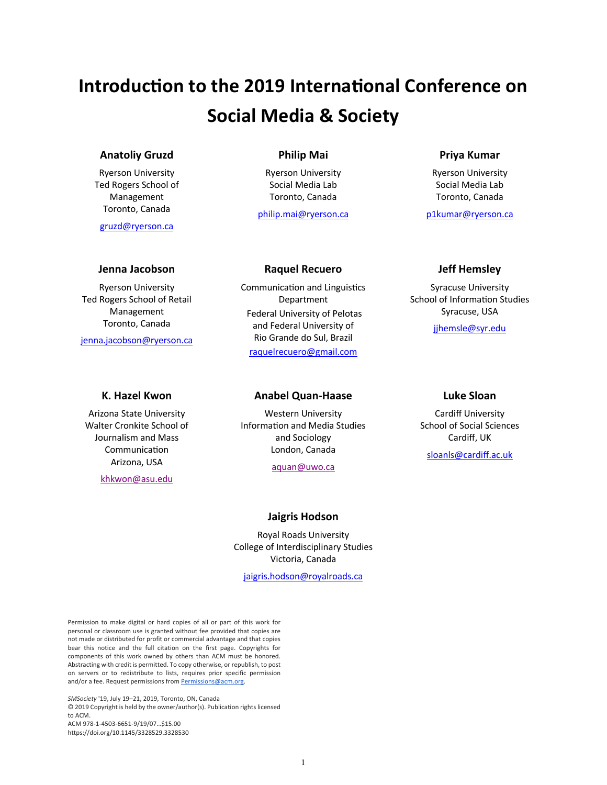# **Introduction to the 2019 International Conference on Social Media & Society**

# **Anatoliy Gruzd**

Ryerson University Ted Rogers School of Management Toronto, Canada

gruzd@ryerson.ca

#### **Jenna Jacobson**

Ryerson University Ted Rogers School of Retail Management Toronto, Canada

jenna.jacobson@ryerson.ca

# **K. Hazel Kwon**

Arizona State University Walter Cronkite School of Journalism and Mass Communication Arizona, USA

khkwon@asu.edu

# **Philip Mai**

Ryerson University Social Media Lab Toronto, Canada

philip.mai@ryerson.ca

# **Priya Kumar**

Ryerson University Social Media Lab Toronto, Canada

p1kumar@ryerson.ca

#### **Raquel Recuero**

Communication and Linguistics Department Federal University of Pelotas and Federal University of Rio Grande do Sul, Brazil raquelrecuero@gmail.com

# **Anabel Quan-Haase**

Western University Information and Media Studies and Sociology London, Canada

aquan@uwo.ca

# **Jaigris Hodson**

Royal Roads University College of Interdisciplinary Studies Victoria, Canada

jaigris.hodson@royalroads.ca

# **Jeff Hemsley**

Syracuse University School of Information Studies Syracuse, USA

jjhemsle@syr.edu

#### **Luke Sloan**

Cardiff University School of Social Sciences Cardiff, UK

sloanls@cardiff.ac.uk

Permission to make digital or hard copies of all or part of this work for personal or classroom use is granted without fee provided that copies are not made or distributed for profit or commercial advantage and that copies bear this notice and the full citation on the first page. Copyrights for components of this work owned by others than ACM must be honored. Abstracting with credit is permitted. To copy otherwise, or republish, to post on servers or to redistribute to lists, requires prior specific permission and/or a fee. Request permissions from **Permissions@acm.org**.

*SMSociety* '19, July 19–21, 2019, Toronto, ON, Canada © 2019 Copyright is held by the owner/author(s). Publication rights licensed to ACM. ACM 978-1-4503-6651-9/19/07…\$15.00 https://doi.org/10.1145/3328529.3328530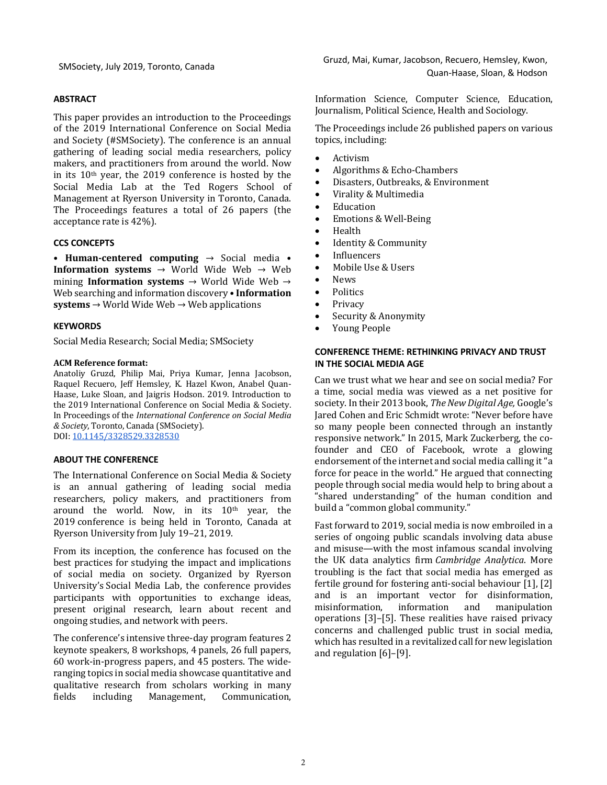#### **ABSTRACT**

This paper provides an introduction to the Proceedings of the 2019 International Conference on Social Media and Society (#SMSociety). The conference is an annual gathering of leading social media researchers, policy makers, and practitioners from around the world. Now in its  $10<sup>th</sup>$  year, the 2019 conference is hosted by the Social Media Lab at the Ted Rogers School of Management at Ryerson University in Toronto, Canada. The Proceedings features a total of 26 papers (the acceptance rate is 42%).

#### **CCS CONCEPTS**

• **Human-centered computing**  $\rightarrow$  Social media • **Information systems**  $\rightarrow$  World Wide Web  $\rightarrow$  Web mining **Information systems**  $\rightarrow$  World Wide Web  $\rightarrow$ Web searching and information discovery • **Information**  $s$ **ystems**  $\rightarrow$  World Wide Web  $\rightarrow$  Web applications

## **KEYWORDS**

Social Media Research; Social Media; SMSociety

#### **ACM Reference format:**

Anatoliy Gruzd, Philip Mai, Priya Kumar, Jenna Jacobson, Raquel Recuero, Jeff Hemsley, K. Hazel Kwon, Anabel Quan-Haase, Luke Sloan, and Jaigris Hodson. 2019. Introduction to the 2019 International Conference on Social Media & Society. In Proceedings of the *International Conference on Social Media & Society*, Toronto, Canada (SMSociety). DOI: 10.1145/3328529.3328530

# **ABOUT THE CONFERENCE**

The International Conference on Social Media & Society is an annual gathering of leading social media researchers, policy makers, and practitioners from around the world. Now, in its  $10<sup>th</sup>$  year, the 2019 conference is being held in Toronto, Canada at Ryerson University from July 19-21, 2019.

From its inception, the conference has focused on the best practices for studying the impact and implications of social media on society. Organized by Ryerson University's Social Media Lab, the conference provides participants with opportunities to exchange ideas, present original research, learn about recent and ongoing studies, and network with peers.

The conference's intensive three-day program features 2 keynote speakers, 8 workshops, 4 panels, 26 full papers, 60 work-in-progress papers, and 45 posters. The wideranging topics in social media showcase quantitative and qualitative research from scholars working in many fields including Management, Communication,

Information Science, Computer Science, Education, Journalism, Political Science, Health and Sociology.

The Proceedings include 26 published papers on various topics, including:

- **Activism**
- Algorithms & Echo-Chambers
- Disasters, Outbreaks, & Environment
- Virality & Multimedia
- Education
- Emotions & Well-Being
- Health
- Identity & Community
- Influencers
- Mobile Use & Users
- News
- Politics
- **Privacy**
- Security & Anonymity
- Young People

#### **CONFERENCE THEME: RETHINKING PRIVACY AND TRUST IN THE SOCIAL MEDIA AGE**

Can we trust what we hear and see on social media? For a time, social media was viewed as a net positive for society. In their 2013 book, *The New Digital Age*, Google's Jared Cohen and Eric Schmidt wrote: "Never before have so many people been connected through an instantly responsive network." In 2015, Mark Zuckerberg, the cofounder and CEO of Facebook, wrote a glowing endorsement of the internet and social media calling it "a force for peace in the world." He argued that connecting people through social media would help to bring about a "shared understanding" of the human condition and build a "common global community."

Fast forward to 2019, social media is now embroiled in a series of ongoing public scandals involving data abuse and misuse—with the most infamous scandal involving the UK data analytics firm *Cambridge Analytica*. More troubling is the fact that social media has emerged as fertile ground for fostering anti-social behaviour  $[1]$ ,  $[2]$ and is an important vector for disinformation, misinformation, information and manipulation operations  $[3]$ - $[5]$ . These realities have raised privacy concerns and challenged public trust in social media, which has resulted in a revitalized call for new legislation and regulation  $[6]-[9]$ .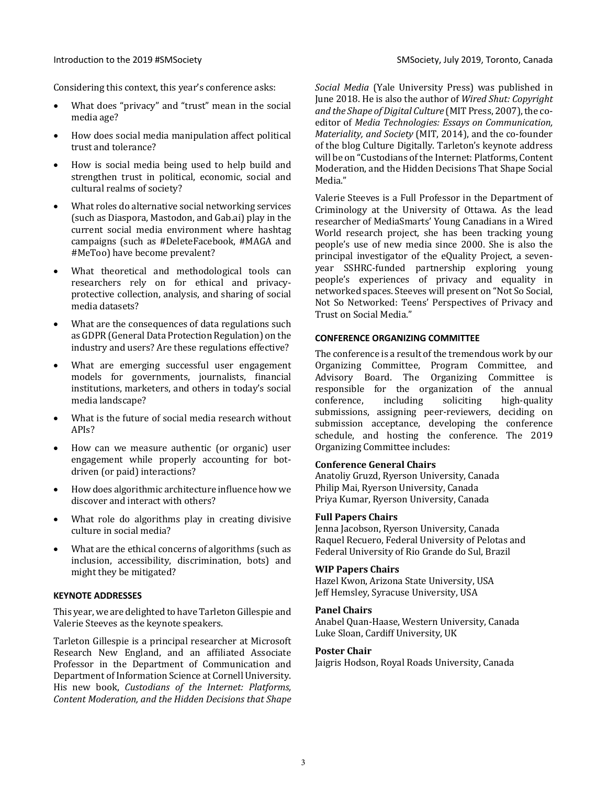Considering this context, this year's conference asks:

- What does "privacy" and "trust" mean in the social media age?
- How does social media manipulation affect political trust and tolerance?
- How is social media being used to help build and strengthen trust in political, economic, social and cultural realms of society?
- What roles do alternative social networking services (such as Diaspora, Mastodon, and Gab.ai) play in the current social media environment where hashtag campaigns (such as #DeleteFacebook, #MAGA and #MeToo) have become prevalent?
- What theoretical and methodological tools can researchers rely on for ethical and privacyprotective collection, analysis, and sharing of social media datasets?
- What are the consequences of data regulations such as GDPR (General Data Protection Regulation) on the industry and users? Are these regulations effective?
- What are emerging successful user engagement models for governments, journalists, financial institutions, marketers, and others in today's social media landscape?
- What is the future of social media research without APIs?
- How can we measure authentic (or organic) user engagement while properly accounting for botdriven (or paid) interactions?
- How does algorithmic architecture influence how we discover and interact with others?
- What role do algorithms play in creating divisive culture in social media?
- What are the ethical concerns of algorithms (such as inclusion, accessibility, discrimination, bots) and might they be mitigated?

# **KEYNOTE ADDRESSES**

This year, we are delighted to have Tarleton Gillespie and Valerie Steeves as the keynote speakers.

Tarleton Gillespie is a principal researcher at Microsoft Research New England, and an affiliated Associate Professor in the Department of Communication and Department of Information Science at Cornell University. His new book, *Custodians of the Internet: Platforms*, *Content Moderation, and the Hidden Decisions that Shape* 

*Social Media* (Yale University Press) was published in June 2018. He is also the author of *Wired Shut: Copyright* and the Shape of Digital Culture (MIT Press, 2007), the coeditor of *Media Technologies: Essays on Communication*, *Materiality, and Society* (MIT, 2014), and the co-founder of the blog Culture Digitally. Tarleton's keynote address will be on "Custodians of the Internet: Platforms, Content Moderation, and the Hidden Decisions That Shape Social Media."

Valerie Steeves is a Full Professor in the Department of Criminology at the University of Ottawa. As the lead researcher of MediaSmarts' Young Canadians in a Wired World research project, she has been tracking young people's use of new media since 2000. She is also the principal investigator of the eQuality Project, a sevenyear SSHRC-funded partnership exploring young people's experiences of privacy and equality in networked spaces. Steeves will present on "Not So Social, Not So Networked: Teens' Perspectives of Privacy and Trust on Social Media."

# **CONFERENCE ORGANIZING COMMITTEE**

The conference is a result of the tremendous work by our Organizing Committee, Program Committee, and Advisory Board. The Organizing Committee is responsible for the organization of the annual conference, including soliciting high-quality submissions, assigning peer-reviewers, deciding on submission acceptance, developing the conference schedule, and hosting the conference. The 2019 Organizing Committee includes:

## **Conference General Chairs**

Anatoliy Gruzd, Ryerson University, Canada Philip Mai, Ryerson University, Canada Priya Kumar, Ryerson University, Canada

# **Full Papers Chairs**

Jenna Jacobson, Ryerson University, Canada Raquel Recuero, Federal University of Pelotas and Federal University of Rio Grande do Sul, Brazil

# **WIP Papers Chairs**

Hazel Kwon, Arizona State University, USA Jeff Hemsley, Syracuse University, USA

#### **Panel Chairs**

Anabel Quan-Haase, Western University, Canada Luke Sloan, Cardiff University, UK

#### **Poster Chair**

Jaigris Hodson, Royal Roads University, Canada